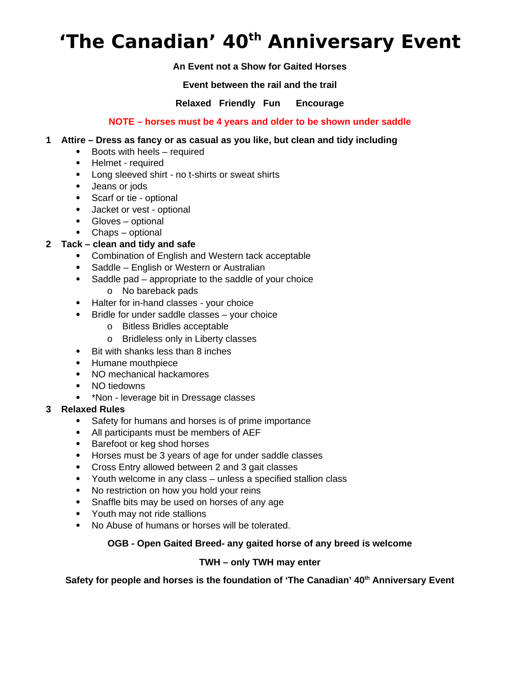# **'The Canadian' 40th Anniversary Event**

## **An Event not a Show for Gaited Horses**

**Event between the rail and the trail**

**Relaxed Friendly Fun Encourage** 

## **NOTE – horses must be 4 years and older to be shown under saddle**

## **1 Attire – Dress as fancy or as casual as you like, but clean and tidy including**

- Boots with heels required
- Helmet required
- Long sleeved shirt no t-shirts or sweat shirts
- Jeans or jods
- Scarf or tie optional
- Jacket or vest optional
- Gloves optional
- Chaps optional

# **2 Tack – clean and tidy and safe**

- Combination of English and Western tack acceptable
- Saddle English or Western or Australian
- Saddle pad appropriate to the saddle of your choice
	- o No bareback pads
- Halter for in-hand classes your choice
- Bridle for under saddle classes your choice
	- o Bitless Bridles acceptable
	- o Bridleless only in Liberty classes
- Bit with shanks less than 8 inches
- Humane mouthpiece
- NO mechanical hackamores
- NO tiedowns
- \*Non leverage bit in Dressage classes

# **3 Relaxed Rules**

- Safety for humans and horses is of prime importance
- All participants must be members of AEF
- Barefoot or keg shod horses
- Horses must be 3 years of age for under saddle classes
- Cross Entry allowed between 2 and 3 gait classes
- Youth welcome in any class unless a specified stallion class
- No restriction on how you hold your reins
- Snaffle bits may be used on horses of any age
- Youth may not ride stallions
- No Abuse of humans or horses will be tolerated.

# **OGB - Open Gaited Breed- any gaited horse of any breed is welcome**

## **TWH – only TWH may enter**

**Safety for people and horses is the foundation of 'The Canadian' 40th Anniversary Event**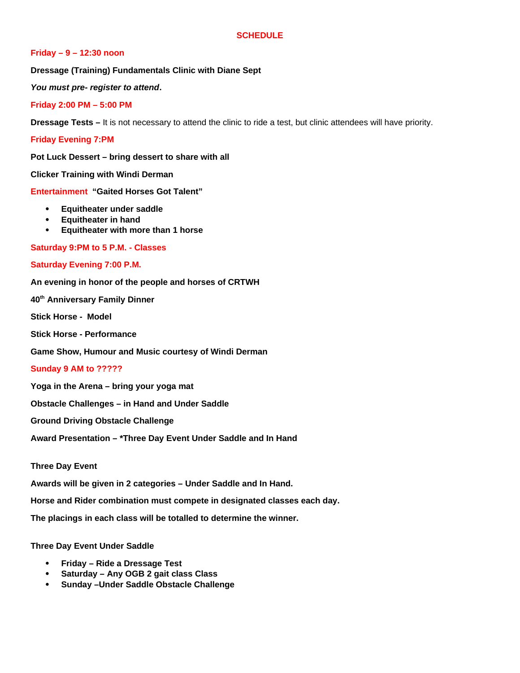#### **SCHEDULE**

#### **Friday – 9 – 12:30 noon**

**Dressage (Training) Fundamentals Clinic with Diane Sept**

*You must pre- register to attend***.** 

**Friday 2:00 PM – 5:00 PM**

**Dressage Tests –** It is not necessary to attend the clinic to ride a test, but clinic attendees will have priority.

**Friday Evening 7:PM** 

**Pot Luck Dessert – bring dessert to share with all**

**Clicker Training with Windi Derman**

**Entertainment "Gaited Horses Got Talent"** 

- **Equitheater under saddle**
- **Equitheater in hand**
- **Equitheater with more than 1 horse**

**Saturday 9:PM to 5 P.M. - Classes**

#### **Saturday Evening 7:00 P.M.**

**An evening in honor of the people and horses of CRTWH** 

**40th Anniversary Family Dinner** 

**Stick Horse - Model**

**Stick Horse - Performance**

**Game Show, Humour and Music courtesy of Windi Derman** 

#### **Sunday 9 AM to ?????**

**Yoga in the Arena – bring your yoga mat**

**Obstacle Challenges – in Hand and Under Saddle**

**Ground Driving Obstacle Challenge** 

**Award Presentation – \*Three Day Event Under Saddle and In Hand**

**Three Day Event** 

**Awards will be given in 2 categories – Under Saddle and In Hand.**

**Horse and Rider combination must compete in designated classes each day.**

**The placings in each class will be totalled to determine the winner.**

**Three Day Event Under Saddle**

- **Friday Ride a Dressage Test**
- **Saturday Any OGB 2 gait class Class**
- **Sunday –Under Saddle Obstacle Challenge**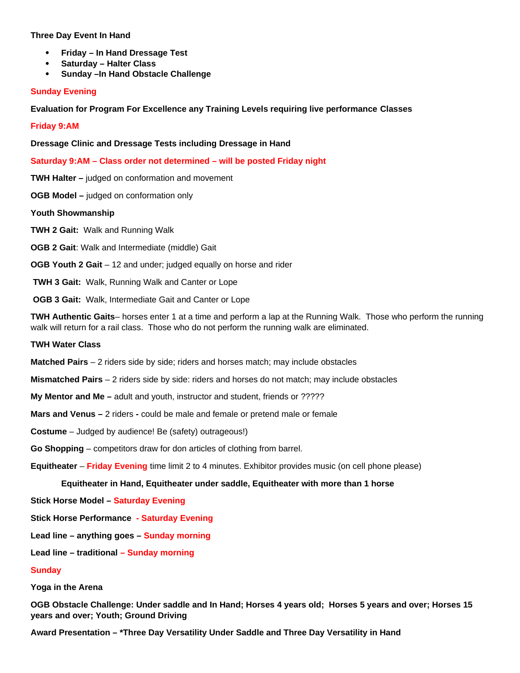#### **Three Day Event In Hand**

- **Friday In Hand Dressage Test**
- **Saturday Halter Class**
- **Sunday –In Hand Obstacle Challenge**

#### **Sunday Evening**

**Evaluation for Program For Excellence any Training Levels requiring live performance Classes**

**Friday 9:AM**

**Dressage Clinic and Dressage Tests including Dressage in Hand**

**Saturday 9:AM – Class order not determined – will be posted Friday night**

**TWH Halter –** judged on conformation and movement

**OGB Model –** judged on conformation only

**Youth Showmanship**

**TWH 2 Gait:** Walk and Running Walk

**OGB 2 Gait**: Walk and Intermediate (middle) Gait

**OGB Youth 2 Gait** – 12 and under; judged equally on horse and rider

 **TWH 3 Gait:** Walk, Running Walk and Canter or Lope

**OGB 3 Gait:** Walk, Intermediate Gait and Canter or Lope

**TWH Authentic Gaits**– horses enter 1 at a time and perform a lap at the Running Walk. Those who perform the running walk will return for a rail class. Those who do not perform the running walk are eliminated.

#### **TWH Water Class**

**Matched Pairs** – 2 riders side by side; riders and horses match; may include obstacles

**Mismatched Pairs** – 2 riders side by side: riders and horses do not match; may include obstacles

- **My Mentor and Me** adult and youth, instructor and student, friends or ?????
- **Mars and Venus** 2 riderscould be male and female or pretend male or female
- **Costume** Judged by audience! Be (safety) outrageous!)
- **Go Shopping** competitors draw for don articles of clothing from barrel.

**Equitheater** – **Friday Evening** time limit 2 to 4 minutes. Exhibitor provides music (on cell phone please)

#### **Equitheater in Hand, Equitheater under saddle, Equitheater with more than 1 horse**

**Stick Horse Model – Saturday Evening**

**Stick Horse Performance - Saturday Evening** 

**Lead line – anything goes – Sunday morning**

**Lead line – traditional – Sunday morning**

#### **Sunday**

**Yoga in the Arena**

**OGB Obstacle Challenge: Under saddle and In Hand; Horses 4 years old; Horses 5 years and over; Horses 15 years and over; Youth; Ground Driving** 

**Award Presentation – \*Three Day Versatility Under Saddle and Three Day Versatility in Hand**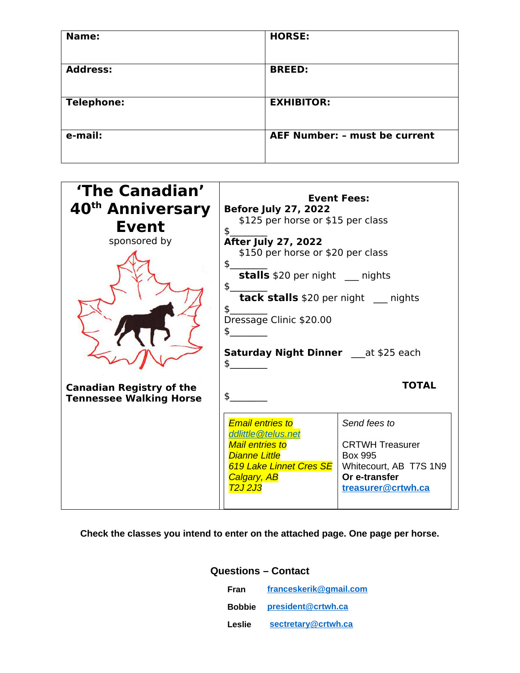| Name:             | <b>HORSE:</b>                        |
|-------------------|--------------------------------------|
| <b>Address:</b>   | <b>BREED:</b>                        |
| <b>Telephone:</b> | <b>EXHIBITOR:</b>                    |
| e-mail:           | <b>AEF Number: - must be current</b> |



## **Check the classes you intend to enter on the attached page. One page per horse.**

### **Questions – Contact**

| Fran   | franceskerik@gmail.com           |
|--------|----------------------------------|
|        | <b>Bobbie</b> president@crtwh.ca |
| Leslie | sectretary@crtwh.ca              |